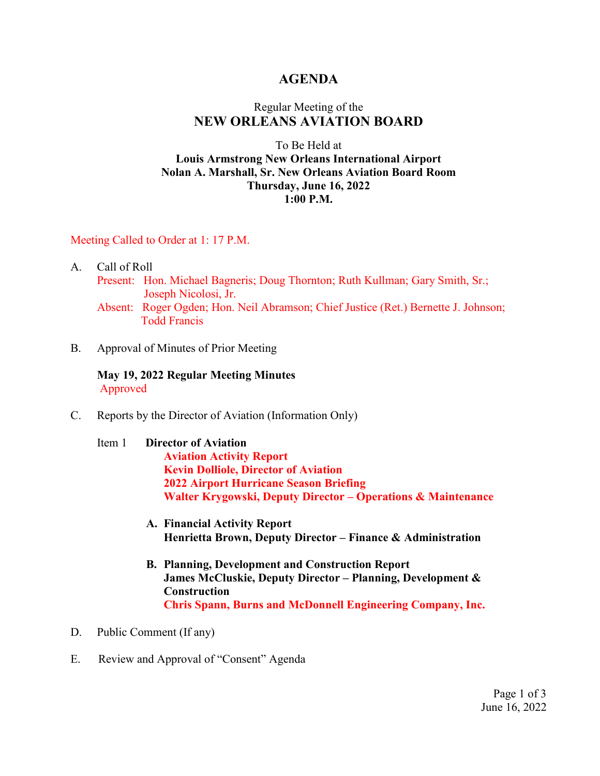### **AGENDA**

## Regular Meeting of the **NEW ORLEANS AVIATION BOARD**

### To Be Held at **Louis Armstrong New Orleans International Airport Nolan A. Marshall, Sr. New Orleans Aviation Board Room Thursday, June 16, 2022 1:00 P.M.**

### Meeting Called to Order at 1: 17 P.M.

- A. Call of Roll
	- Present: Hon. Michael Bagneris; Doug Thornton; Ruth Kullman; Gary Smith, Sr.; Joseph Nicolosi, Jr.
	- Absent: Roger Ogden; Hon. Neil Abramson; Chief Justice (Ret.) Bernette J. Johnson; Todd Francis
- B. Approval of Minutes of Prior Meeting

**May 19, 2022 Regular Meeting Minutes** Approved

- C. Reports by the Director of Aviation (Information Only)
	- Item 1 **Director of Aviation Aviation Activity Report Kevin Dolliole, Director of Aviation 2022 Airport Hurricane Season Briefing Walter Krygowski, Deputy Director – Operations & Maintenance**
		- **A. Financial Activity Report Henrietta Brown, Deputy Director – Finance & Administration**
		- **B. Planning, Development and Construction Report James McCluskie, Deputy Director – Planning, Development & Construction Chris Spann, Burns and McDonnell Engineering Company, Inc.**
- D. Public Comment (If any)
- E. Review and Approval of "Consent" Agenda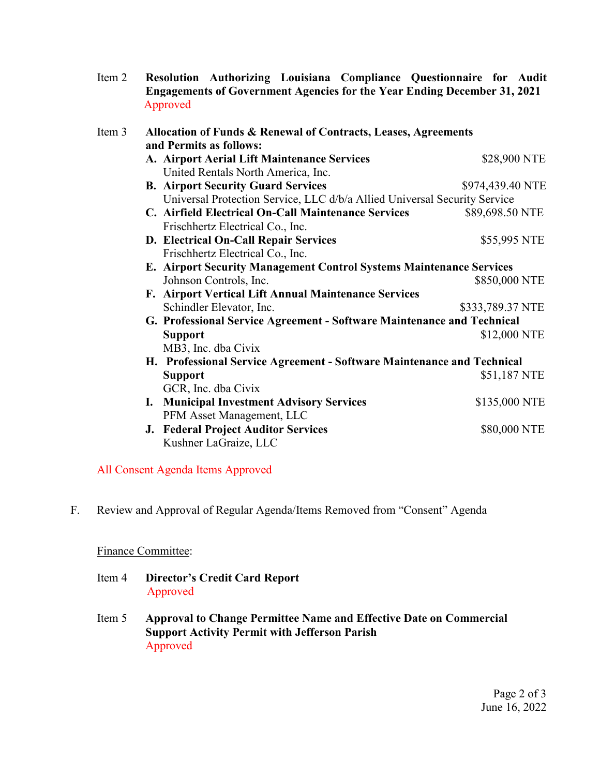Item 2 **Resolution Authorizing Louisiana Compliance Questionnaire for Audit Engagements of Government Agencies for the Year Ending December 31, 2021** Approved

| Item 3 | Allocation of Funds & Renewal of Contracts, Leases, Agreements<br>and Permits as follows: |                  |
|--------|-------------------------------------------------------------------------------------------|------------------|
|        | A. Airport Aerial Lift Maintenance Services<br>United Rentals North America, Inc.         | \$28,900 NTE     |
|        | <b>B. Airport Security Guard Services</b>                                                 | \$974,439.40 NTE |
|        | Universal Protection Service, LLC d/b/a Allied Universal Security Service                 |                  |
|        | C. Airfield Electrical On-Call Maintenance Services                                       | \$89,698.50 NTE  |
|        | Frischhertz Electrical Co., Inc.                                                          |                  |
|        | D. Electrical On-Call Repair Services                                                     | \$55,995 NTE     |
|        | Frischhertz Electrical Co., Inc.                                                          |                  |
|        | E. Airport Security Management Control Systems Maintenance Services                       |                  |
|        | Johnson Controls, Inc.                                                                    | \$850,000 NTE    |
|        | F. Airport Vertical Lift Annual Maintenance Services                                      |                  |
|        | Schindler Elevator, Inc.                                                                  | \$333,789.37 NTE |
|        | G. Professional Service Agreement - Software Maintenance and Technical                    |                  |
|        | <b>Support</b>                                                                            | \$12,000 NTE     |
|        | MB3, Inc. dba Civix                                                                       |                  |
|        | H. Professional Service Agreement - Software Maintenance and Technical                    |                  |
|        | <b>Support</b>                                                                            | \$51,187 NTE     |
|        | GCR, Inc. dba Civix                                                                       |                  |
|        | <b>I. Municipal Investment Advisory Services</b>                                          | \$135,000 NTE    |
|        | PFM Asset Management, LLC                                                                 |                  |
|        | <b>J. Federal Project Auditor Services</b>                                                | \$80,000 NTE     |
|        | Kushner LaGraize, LLC                                                                     |                  |

### All Consent Agenda Items Approved

F. Review and Approval of Regular Agenda/Items Removed from "Consent" Agenda

### Finance Committee:

- Item 4 **Director's Credit Card Report** Approved
- Item 5 **Approval to Change Permittee Name and Effective Date on Commercial Support Activity Permit with Jefferson Parish** Approved